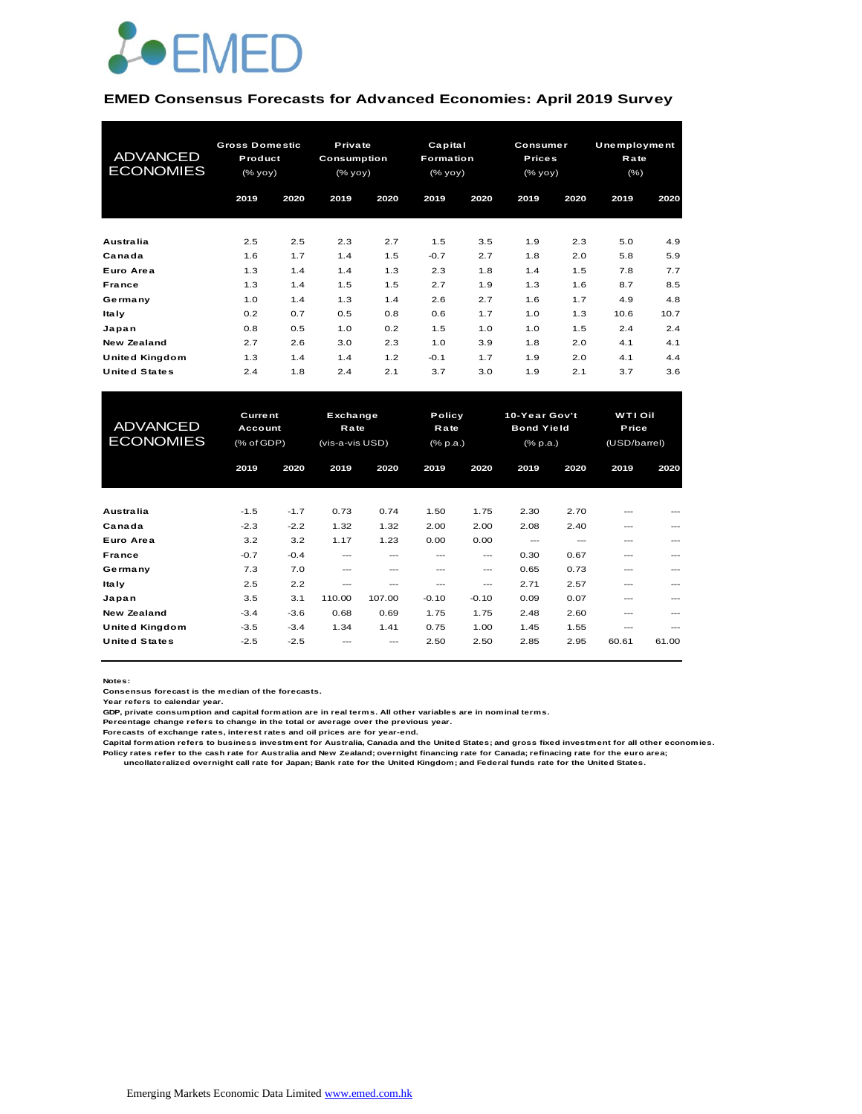

#### **EMED Consensus Forecasts for Advanced Economies: April 2019 Survey**

| <b>ADVANCED</b><br><b>ECONOMIES</b> | <b>Gross Domestic</b><br>Product<br>(% yoy) |      | Private<br>Consumption<br>(% |      | Capital<br>Formation<br>(% |      | Consumer<br><b>Prices</b><br>(% |      | Unemployment<br>Rate<br>$(\% )$ |      |
|-------------------------------------|---------------------------------------------|------|------------------------------|------|----------------------------|------|---------------------------------|------|---------------------------------|------|
|                                     | 2019                                        | 2020 | 2019                         | 2020 | 2019                       | 2020 | 2019                            | 2020 | 2019                            | 2020 |
| <b>Australia</b>                    | 2.5                                         | 2.5  | 2.3                          | 2.7  | 1.5                        | 3.5  | 1.9                             | 2.3  | 5.0                             | 4.9  |
| Canada                              | 1.6                                         | 1.7  | 1.4                          | 1.5  | $-0.7$                     | 2.7  | 1.8                             | 2.0  | 5.8                             | 5.9  |
| Euro Area                           | 1.3                                         | 1.4  | 1.4                          | 1.3  | 2.3                        | 1.8  | 1.4                             | 1.5  | 7.8                             | 7.7  |
| France                              | 1.3                                         | 1.4  | 1.5                          | 1.5  | 2.7                        | 1.9  | 1.3                             | 1.6  | 8.7                             | 8.5  |
| Germany                             | 1.0                                         | 1.4  | 1.3                          | 1.4  | 2.6                        | 2.7  | 1.6                             | 1.7  | 4.9                             | 4.8  |
| <b>Italy</b>                        | 0.2                                         | 0.7  | 0.5                          | 0.8  | 0.6                        | 1.7  | 1.0                             | 1.3  | 10.6                            | 10.7 |
| Japan                               | 0.8                                         | 0.5  | 1.0                          | 0.2  | 1.5                        | 1.0  | 1.0                             | 1.5  | 2.4                             | 2.4  |
| New Zealand                         | 2.7                                         | 2.6  | 3.0                          | 2.3  | 1.0                        | 3.9  | 1.8                             | 2.0  | 4.1                             | 4.1  |
| <b>United Kingdom</b>               | 1.3                                         | 1.4  | 1.4                          | 1.2  | $-0.1$                     | 1.7  | 1.9                             | 2.0  | 4.1                             | 4.4  |
| <b>United States</b>                | 2.4                                         | 1.8  | 2.4                          | 2.1  | 3.7                        | 3.0  | 1.9                             | 2.1  | 3.7                             | 3.6  |

| <b>United Kingdom</b> | 1.3            | 1.4    | 1.4             | 1.2      | $-0.1$   | 1.7           | 1.9               | 2.0           | 4.1          | 4.4   |
|-----------------------|----------------|--------|-----------------|----------|----------|---------------|-------------------|---------------|--------------|-------|
| <b>United States</b>  | 2.4            | 1.8    | 2.4             | 2.1      | 3.7      | 3.0           | 1.9               | 2.1           | 3.7          | 3.6   |
|                       |                |        |                 |          |          |               |                   |               |              |       |
|                       | <b>Current</b> |        |                 | Exchange |          | <b>Policy</b> |                   | 10-Year Gov't | WTI Oil      |       |
| <b>ADVANCED</b>       | Account        |        | Rate            |          | Rate     |               | <b>Bond Yield</b> |               | Price        |       |
| <b>ECONOMIES</b>      | (% of GDP)     |        | (vis-a-vis USD) |          | (% p.a.) |               | $(%$ (% p.a.)     |               | (USD/barrel) |       |
|                       |                |        |                 |          |          |               |                   |               |              |       |
|                       | 2019           | 2020   | 2019            | 2020     | 2019     | 2020          | 2019              | 2020          | 2019         | 2020  |
|                       |                |        |                 |          |          |               |                   |               |              |       |
| Australia             | $-1.5$         | $-1.7$ | 0.73            | 0.74     | 1.50     | 1.75          | 2.30              | 2.70          | ---          |       |
| Canada                | $-2.3$         | $-2.2$ | 1.32            | 1.32     | 2.00     | 2.00          | 2.08              | 2.40          | ---          |       |
| Euro Area             | 3.2            | 3.2    | 1.17            | 1.23     | 0.00     | 0.00          | $---$             | $---$         | ---          |       |
| France                | $-0.7$         | $-0.4$ | $---$           | ---      | $- - -$  | $---$         | 0.30              | 0.67          | ---          | ---   |
| Germany               | 7.3            | 7.0    | ---             | ---      | ---      | $---$         | 0.65              | 0.73          | ---          | ---   |
| <b>Italy</b>          | 2.5            | 2.2    | ---             | ---      | ---      | $---$         | 2.71              | 2.57          | ---          |       |
| Japan                 | 3.5            | 3.1    | 110.00          | 107.00   | $-0.10$  | $-0.10$       | 0.09              | 0.07          | ---          | ---   |
| New Zealand           | $-3.4$         | $-3.6$ | 0.68            | 0.69     | 1.75     | 1.75          | 2.48              | 2.60          | ---          | ---   |
| <b>United Kingdom</b> | $-3.5$         | $-3.4$ | 1.34            | 1.41     | 0.75     | 1.00          | 1.45              | 1.55          | ---          | ---   |
| <b>United States</b>  | $-2.5$         | $-2.5$ |                 |          | 2.50     | 2.50          | 2.85              | 2.95          | 60.61        | 61.00 |
|                       |                |        |                 |          |          |               |                   |               |              |       |

**Notes:** 

**Consensus forecast is the median of the forecasts.**

**Year refers to calendar year.**

**GDP, private consumption and capital formation are in real terms. All other variables are in nominal terms.**

**Percentage change refers to change in the total or average over the previous year.**

**Forecasts of exchange rates, interest rates and oil prices are for year-end.**

**Capital formation refers to business investment for Australia, Canada and the United States; and gross fixed investment for all other economies. Policy rates refer to the cash rate for Australia and New Zealand; overnight financing rate for Canada; refinacing rate for the euro area; uncollateralized overnight call rate for Japan; Bank rate for the United Kingdom; and Federal funds rate for the United States.**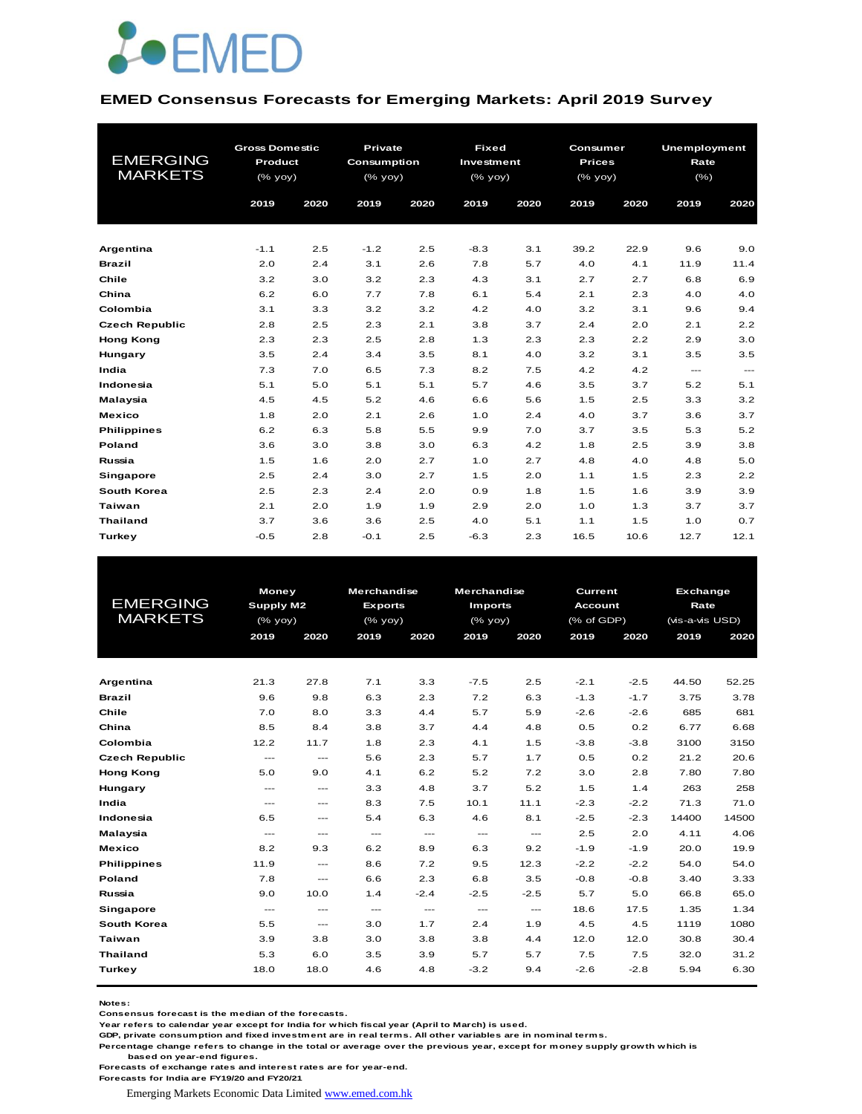

#### **EMED Consensus Forecasts for Emerging Markets: April 2019 Survey**

| <b>EMERGING</b><br><b>MARKETS</b> | <b>Gross Domestic</b><br>Product<br>(% yoy)<br>2019<br>2020 |     | Private<br><b>Consumption</b><br>(% yoy)<br>2019 | 2020 | <b>Fixed</b><br>Investment<br>(% yoy)<br>2019 | 2020 | Consumer<br><b>Prices</b><br>(% yoy)<br>2019 | 2020 | Unemployment<br>Rate<br>(% )<br>2019 | 2020              |
|-----------------------------------|-------------------------------------------------------------|-----|--------------------------------------------------|------|-----------------------------------------------|------|----------------------------------------------|------|--------------------------------------|-------------------|
|                                   |                                                             |     |                                                  |      |                                               |      |                                              |      |                                      |                   |
|                                   |                                                             |     |                                                  |      |                                               |      |                                              |      |                                      |                   |
| Argentina                         | $-1.1$                                                      | 2.5 | $-1.2$                                           | 2.5  | $-8.3$                                        | 3.1  | 39.2                                         | 22.9 | 9.6                                  | 9.0               |
| <b>Brazil</b>                     | 2.0                                                         | 2.4 | 3.1                                              | 2.6  | 7.8                                           | 5.7  | 4.0                                          | 4.1  | 11.9                                 | 11.4              |
| Chile                             | 3.2                                                         | 3.0 | 3.2                                              | 2.3  | 4.3                                           | 3.1  | 2.7                                          | 2.7  | 6.8                                  | 6.9               |
| China                             | 6.2                                                         | 6.0 | 7.7                                              | 7.8  | 6.1                                           | 5.4  | 2.1                                          | 2.3  | 4.0                                  | 4.0               |
| Colombia                          | 3.1                                                         | 3.3 | 3.2                                              | 3.2  | 4.2                                           | 4.0  | 3.2                                          | 3.1  | 9.6                                  | 9.4               |
| <b>Czech Republic</b>             | 2.8                                                         | 2.5 | 2.3                                              | 2.1  | 3.8                                           | 3.7  | 2.4                                          | 2.0  | 2.1                                  | 2.2               |
| <b>Hong Kong</b>                  | 2.3                                                         | 2.3 | 2.5                                              | 2.8  | 1.3                                           | 2.3  | 2.3                                          | 2.2  | 2.9                                  | 3.0               |
| Hungary                           | 3.5                                                         | 2.4 | 3.4                                              | 3.5  | 8.1                                           | 4.0  | 3.2                                          | 3.1  | 3.5                                  | 3.5               |
| India                             | 7.3                                                         | 7.0 | 6.5                                              | 7.3  | 8.2                                           | 7.5  | 4.2                                          | 4.2  | $\cdots$                             | $\qquad \qquad -$ |
| Indonesia                         | 5.1                                                         | 5.0 | 5.1                                              | 5.1  | 5.7                                           | 4.6  | 3.5                                          | 3.7  | 5.2                                  | 5.1               |
| Malaysia                          | 4.5                                                         | 4.5 | 5.2                                              | 4.6  | 6.6                                           | 5.6  | 1.5                                          | 2.5  | 3.3                                  | 3.2               |
| <b>Mexico</b>                     | 1.8                                                         | 2.0 | 2.1                                              | 2.6  | 1.0                                           | 2.4  | 4.0                                          | 3.7  | 3.6                                  | 3.7               |
| <b>Philippines</b>                | 6.2                                                         | 6.3 | 5.8                                              | 5.5  | 9.9                                           | 7.0  | 3.7                                          | 3.5  | 5.3                                  | 5.2               |
| Poland                            | 3.6                                                         | 3.0 | 3.8                                              | 3.0  | 6.3                                           | 4.2  | 1.8                                          | 2.5  | 3.9                                  | 3.8               |
| Russia                            | 1.5                                                         | 1.6 | 2.0                                              | 2.7  | 1.0                                           | 2.7  | 4.8                                          | 4.0  | 4.8                                  | 5.0               |
| <b>Singapore</b>                  | 2.5                                                         | 2.4 | 3.0                                              | 2.7  | 1.5                                           | 2.0  | 1.1                                          | 1.5  | 2.3                                  | 2.2               |
| South Korea                       | 2.5                                                         | 2.3 | 2.4                                              | 2.0  | 0.9                                           | 1.8  | 1.5                                          | 1.6  | 3.9                                  | 3.9               |
| <b>Taiwan</b>                     | 2.1                                                         | 2.0 | 1.9                                              | 1.9  | 2.9                                           | 2.0  | 1.0                                          | 1.3  | 3.7                                  | 3.7               |
| <b>Thailand</b>                   | 3.7                                                         | 3.6 | 3.6                                              | 2.5  | 4.0                                           | 5.1  | 1.1                                          | 1.5  | 1.0                                  | 0.7               |
| <b>Turkey</b>                     | $-0.5$                                                      | 2.8 | $-0.1$                                           | 2.5  | $-6.3$                                        | 2.3  | 16.5                                         | 10.6 | 12.7                                 | 12.1              |

|                       | <b>Money</b>                        |                                     | <b>Merchandise</b>   |                          | <b>Merchandise</b>   |                                          | <b>Current</b> |        | <b>Exchange</b> |       |
|-----------------------|-------------------------------------|-------------------------------------|----------------------|--------------------------|----------------------|------------------------------------------|----------------|--------|-----------------|-------|
| <b>EMERGING</b>       | Supply M2                           |                                     | <b>Exports</b>       |                          | <b>Imports</b>       |                                          | <b>Account</b> |        | Rate            |       |
| <b>MARKETS</b>        | (% yoy)                             |                                     | (% yoy)              |                          | $(%$ $(y_0, y_0),$   |                                          | (% of GDP)     |        | (vis-a-vis USD) |       |
|                       | 2019                                | 2020                                | 2019                 | 2020                     | 2019                 | 2020                                     | 2019           | 2020   | 2019            | 2020  |
|                       |                                     |                                     |                      |                          |                      |                                          |                |        |                 |       |
|                       |                                     |                                     |                      |                          |                      |                                          |                |        |                 |       |
| Argentina             | 21.3                                | 27.8                                | 7.1                  | 3.3                      | $-7.5$               | 2.5                                      | $-2.1$         | $-2.5$ | 44.50           | 52.25 |
| <b>Brazil</b>         | 9.6                                 | 9.8                                 | 6.3                  | 2.3                      | 7.2                  | 6.3                                      | $-1.3$         | $-1.7$ | 3.75            | 3.78  |
| Chile                 | 7.0                                 | 8.0                                 | 3.3                  | 4.4                      | 5.7                  | 5.9                                      | $-2.6$         | $-2.6$ | 685             | 681   |
| China                 | 8.5                                 | 8.4                                 | 3.8                  | 3.7                      | 4.4                  | 4.8                                      | 0.5            | 0.2    | 6.77            | 6.68  |
| Colombia              | 12.2                                | 11.7                                | 1.8                  | 2.3                      | 4.1                  | 1.5                                      | $-3.8$         | $-3.8$ | 3100            | 3150  |
| <b>Czech Republic</b> | $\cdots$                            | $\qquad \qquad -$                   | 5.6                  | 2.3                      | 5.7                  | 1.7                                      | 0.5            | 0.2    | 21.2            | 20.6  |
| <b>Hong Kong</b>      | 5.0                                 | 9.0                                 | 4.1                  | 6.2                      | 5.2                  | 7.2                                      | 3.0            | 2.8    | 7.80            | 7.80  |
| Hungary               | $\qquad \qquad -$                   | $\qquad \qquad -$                   | 3.3                  | 4.8                      | 3.7                  | 5.2                                      | 1.5            | 1.4    | 263             | 258   |
| India                 | $\qquad \qquad -$                   | $---$                               | 8.3                  | 7.5                      | 10.1                 | 11.1                                     | $-2.3$         | $-2.2$ | 71.3            | 71.0  |
| Indonesia             | 6.5                                 | $\sim$ $\sim$ $\sim$                | 5.4                  | 6.3                      | 4.6                  | 8.1                                      | $-2.5$         | $-2.3$ | 14400           | 14500 |
| Malaysia              | $\sim$ $\sim$ $\sim$                | $\sim$ $\sim$ $\sim$                | $\sim$ $\sim$ $\sim$ | $\frac{1}{2}$            | $\sim$ $\sim$ $\sim$ | $\frac{1}{2}$                            | 2.5            | 2.0    | 4.11            | 4.06  |
| <b>Mexico</b>         | 8.2                                 | 9.3                                 | 6.2                  | 8.9                      | 6.3                  | 9.2                                      | $-1.9$         | $-1.9$ | 20.0            | 19.9  |
| <b>Philippines</b>    | 11.9                                | $\hspace{0.05cm}---\hspace{0.05cm}$ | 8.6                  | 7.2                      | 9.5                  | 12.3                                     | $-2.2$         | $-2.2$ | 54.0            | 54.0  |
| Poland                | 7.8                                 | $\sim$ $\sim$ $\sim$                | 6.6                  | 2.3                      | 6.8                  | 3.5                                      | $-0.8$         | $-0.8$ | 3.40            | 3.33  |
| Russia                | 9.0                                 | 10.0                                | 1.4                  | $-2.4$                   | $-2.5$               | $-2.5$                                   | 5.7            | 5.0    | 66.8            | 65.0  |
| Singapore             | $\hspace{0.05cm}---\hspace{0.05cm}$ | $\hspace{0.05cm}---\hspace{0.05cm}$ | $\sim$ $\sim$        | $\hspace{0.05cm} \ldots$ | $\cdots$             | $\hspace{0.05cm} \ldots \hspace{0.05cm}$ | 18.6           | 17.5   | 1.35            | 1.34  |
| South Korea           | 5.5                                 | $\sim$ $\sim$ $\sim$                | 3.0                  | 1.7                      | 2.4                  | 1.9                                      | 4.5            | 4.5    | 1119            | 1080  |
| Taiwan                | 3.9                                 | 3.8                                 | 3.0                  | 3.8                      | 3.8                  | 4.4                                      | 12.0           | 12.0   | 30.8            | 30.4  |
| <b>Thailand</b>       | 5.3                                 | 6.0                                 | 3.5                  | 3.9                      | 5.7                  | 5.7                                      | 7.5            | 7.5    | 32.0            | 31.2  |
| Turkey                | 18.0                                | 18.0                                | 4.6                  | 4.8                      | $-3.2$               | 9.4                                      | $-2.6$         | $-2.8$ | 5.94            | 6.30  |
|                       |                                     |                                     |                      |                          |                      |                                          |                |        |                 |       |

**Notes:** 

**Consensus forecast is the median of the forecasts.**

**Year refers to calendar year except for India for which fiscal year (April to March) is used.**

**GDP, private consumption and fixed investment are in real terms. All other variables are in nominal terms.**

**Percentage change refers to change in the total or average over the previous year, except for money supply growth which is based on year-end figures.**

**Forecasts of exchange rates and interest rates are for year-end.**

**Forecasts for India are FY19/20 and FY20/21**

Emerging Markets Economic Data Limited www.emed.com.hk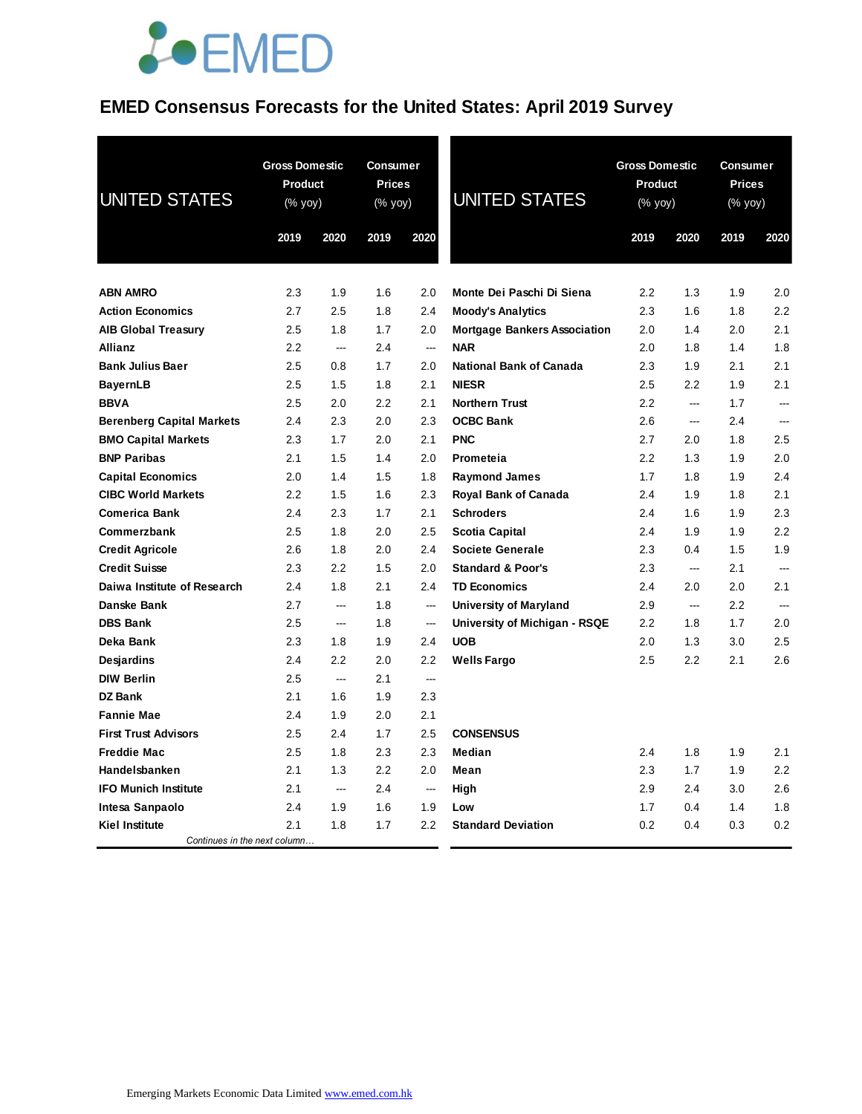## **EMED Consensus Forecasts for the United States: April 2019 Survey**

| <b>UNITED STATES</b>             | <b>Gross Domestic</b><br><b>Product</b><br>(% yoy) |      | <b>Consumer</b><br><b>Prices</b><br>(% yoy) |                          | <b>UNITED STATES</b>                | <b>Gross Domestic</b><br><b>Product</b><br>(% yoy) |                          | <b>Consumer</b><br><b>Prices</b><br>$(% \mathsf{Y}^{\prime }\mathsf{Y}^{\prime }\mathsf{Y}^{\prime })$ |          |
|----------------------------------|----------------------------------------------------|------|---------------------------------------------|--------------------------|-------------------------------------|----------------------------------------------------|--------------------------|--------------------------------------------------------------------------------------------------------|----------|
|                                  | 2019                                               | 2020 | 2019                                        | 2020                     |                                     | 2019                                               | 2020                     | 2019                                                                                                   | 2020     |
|                                  |                                                    |      |                                             |                          |                                     |                                                    |                          |                                                                                                        |          |
| <b>ABN AMRO</b>                  | 2.3                                                | 1.9  | 1.6                                         | 2.0                      | Monte Dei Paschi Di Siena           | 2.2                                                | 1.3                      | 1.9                                                                                                    | 2.0      |
| <b>Action Economics</b>          | 2.7                                                | 2.5  | 1.8                                         | 2.4                      | <b>Moody's Analytics</b>            | 2.3                                                | 1.6                      | 1.8                                                                                                    | 2.2      |
| <b>AIB Global Treasury</b>       | 2.5                                                | 1.8  | 1.7                                         | 2.0                      | <b>Mortgage Bankers Association</b> | 2.0                                                | 1.4                      | 2.0                                                                                                    | 2.1      |
| <b>Allianz</b>                   | 2.2                                                | ---  | 2.4                                         | ---                      | <b>NAR</b>                          | 2.0                                                | 1.8                      | 1.4                                                                                                    | 1.8      |
| <b>Bank Julius Baer</b>          | 2.5                                                | 0.8  | 1.7                                         | 2.0                      | <b>National Bank of Canada</b>      | 2.3                                                | 1.9                      | 2.1                                                                                                    | 2.1      |
| <b>BayernLB</b>                  | 2.5                                                | 1.5  | 1.8                                         | 2.1                      | <b>NIESR</b>                        | 2.5                                                | 2.2                      | 1.9                                                                                                    | 2.1      |
| <b>BBVA</b>                      | 2.5                                                | 2.0  | 2.2                                         | 2.1                      | <b>Northern Trust</b>               | 2.2                                                | $\overline{a}$           | 1.7                                                                                                    | <u>.</u> |
| <b>Berenberg Capital Markets</b> | 2.4                                                | 2.3  | 2.0                                         | 2.3                      | <b>OCBC Bank</b>                    | 2.6                                                | ---                      | 2.4                                                                                                    | ---      |
| <b>BMO Capital Markets</b>       | 2.3                                                | 1.7  | 2.0                                         | 2.1                      | <b>PNC</b>                          | 2.7                                                | 2.0                      | 1.8                                                                                                    | 2.5      |
| <b>BNP Paribas</b>               | 2.1                                                | 1.5  | 1.4                                         | 2.0                      | Prometeia                           | 2.2                                                | 1.3                      | 1.9                                                                                                    | 2.0      |
| <b>Capital Economics</b>         | 2.0                                                | 1.4  | 1.5                                         | 1.8                      | <b>Raymond James</b>                | 1.7                                                | 1.8                      | 1.9                                                                                                    | 2.4      |
| <b>CIBC World Markets</b>        | 2.2                                                | 1.5  | 1.6                                         | 2.3                      | Royal Bank of Canada                | 2.4                                                | 1.9                      | 1.8                                                                                                    | 2.1      |
| <b>Comerica Bank</b>             | 2.4                                                | 2.3  | 1.7                                         | 2.1                      | <b>Schroders</b>                    | 2.4                                                | 1.6                      | 1.9                                                                                                    | 2.3      |
| Commerzbank                      | 2.5                                                | 1.8  | 2.0                                         | 2.5                      | Scotia Capital                      | 2.4                                                | 1.9                      | 1.9                                                                                                    | 2.2      |
| <b>Credit Agricole</b>           | 2.6                                                | 1.8  | 2.0                                         | 2.4                      | <b>Societe Generale</b>             | 2.3                                                | 0.4                      | 1.5                                                                                                    | 1.9      |
| <b>Credit Suisse</b>             | 2.3                                                | 2.2  | 1.5                                         | 2.0                      | <b>Standard &amp; Poor's</b>        | 2.3                                                | $\overline{\phantom{a}}$ | 2.1                                                                                                    |          |
| Daiwa Institute of Research      | 2.4                                                | 1.8  | 2.1                                         | 2.4                      | <b>TD Economics</b>                 | 2.4                                                | 2.0                      | 2.0                                                                                                    | 2.1      |
| Danske Bank                      | 2.7                                                | ---  | 1.8                                         | ---                      | <b>University of Maryland</b>       | 2.9                                                | ---                      | 2.2                                                                                                    |          |
| <b>DBS Bank</b>                  | 2.5                                                | ---  | 1.8                                         | $\overline{\phantom{a}}$ | University of Michigan - RSQE       | 2.2                                                | 1.8                      | 1.7                                                                                                    | 2.0      |
| Deka Bank                        | 2.3                                                | 1.8  | 1.9                                         | 2.4                      | <b>UOB</b>                          | 2.0                                                | 1.3                      | 3.0                                                                                                    | 2.5      |
| <b>Desjardins</b>                | 2.4                                                | 2.2  | 2.0                                         | 2.2                      | <b>Wells Fargo</b>                  | 2.5                                                | 2.2                      | 2.1                                                                                                    | 2.6      |
| <b>DIW Berlin</b>                | 2.5                                                | ---  | 2.1                                         | ---                      |                                     |                                                    |                          |                                                                                                        |          |
| <b>DZ Bank</b>                   | 2.1                                                | 1.6  | 1.9                                         | 2.3                      |                                     |                                                    |                          |                                                                                                        |          |
| <b>Fannie Mae</b>                | 2.4                                                | 1.9  | 2.0                                         | 2.1                      |                                     |                                                    |                          |                                                                                                        |          |
| <b>First Trust Advisors</b>      | 2.5                                                | 2.4  | 1.7                                         | 2.5                      | <b>CONSENSUS</b>                    |                                                    |                          |                                                                                                        |          |
| <b>Freddie Mac</b>               | 2.5                                                | 1.8  | 2.3                                         | 2.3                      | Median                              | 2.4                                                | 1.8                      | 1.9                                                                                                    | 2.1      |
| Handelsbanken                    | 2.1                                                | 1.3  | 2.2                                         | 2.0                      | Mean                                | 2.3                                                | 1.7                      | 1.9                                                                                                    | 2.2      |
| <b>IFO Munich Institute</b>      | 2.1                                                | ---  | 2.4                                         | $\sim$                   | High                                | 2.9                                                | 2.4                      | 3.0                                                                                                    | 2.6      |
| Intesa Sanpaolo                  | 2.4                                                | 1.9  | 1.6                                         | 1.9                      | Low                                 | 1.7                                                | 0.4                      | 1.4                                                                                                    | 1.8      |
| <b>Kiel Institute</b>            | 2.1                                                | 1.8  | 1.7                                         | 2.2                      | <b>Standard Deviation</b>           | 0.2                                                | 0.4                      | 0.3                                                                                                    | 0.2      |
| Continues in the next column     |                                                    |      |                                             |                          |                                     |                                                    |                          |                                                                                                        |          |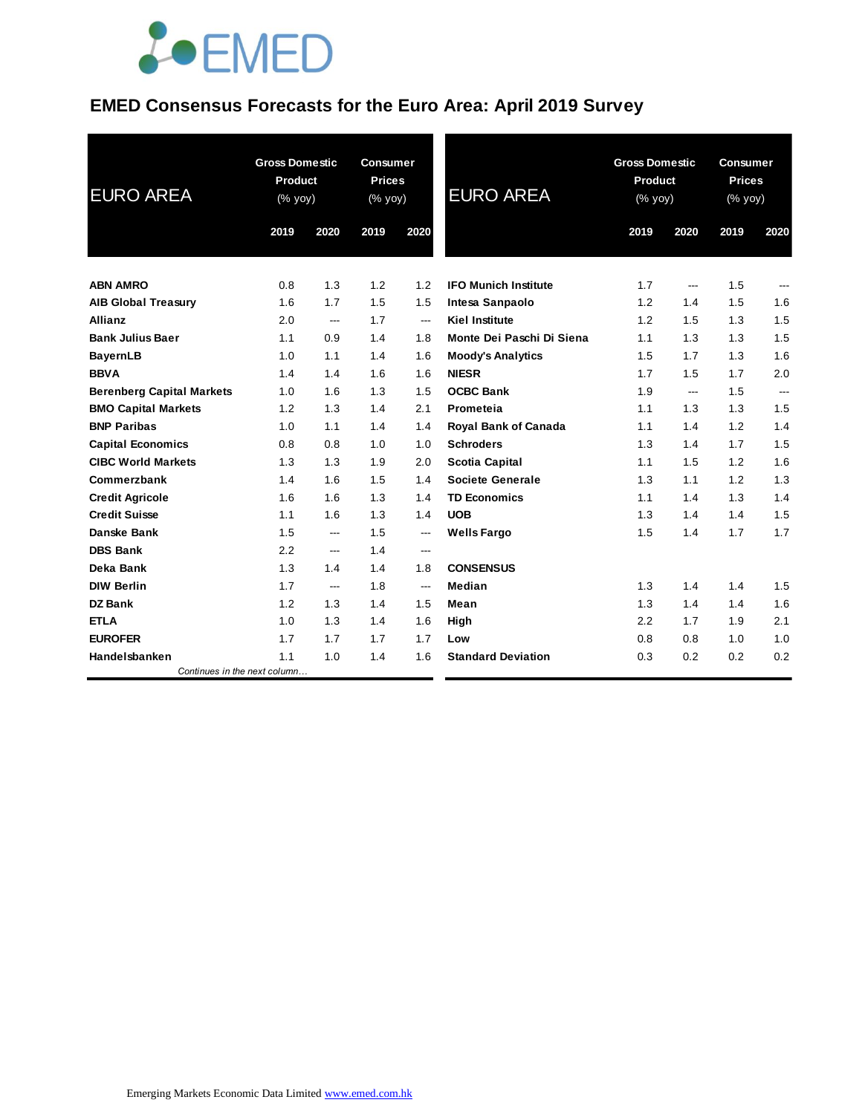## **EMED Consensus Forecasts for the Euro Area: April 2019 Survey**

| <b>EURO AREA</b>                 | <b>Gross Domestic</b><br>Product<br>(% yoy) |      | <b>Consumer</b><br><b>Prices</b><br>(% yoy) |                          | <b>EURO AREA</b>            |      | <b>Gross Domestic</b><br><b>Product</b><br>(% yoy) |      | <b>Consumer</b><br><b>Prices</b><br>(% yoy) |  |
|----------------------------------|---------------------------------------------|------|---------------------------------------------|--------------------------|-----------------------------|------|----------------------------------------------------|------|---------------------------------------------|--|
|                                  | 2019                                        | 2020 | 2019                                        | 2020                     |                             | 2019 | 2020                                               | 2019 | 2020                                        |  |
| <b>ABN AMRO</b>                  | 0.8                                         | 1.3  | 1.2                                         | 1.2                      | <b>IFO Munich Institute</b> | 1.7  | ---                                                | 1.5  | ---                                         |  |
| <b>AIB Global Treasury</b>       | 1.6                                         | 1.7  | 1.5                                         | 1.5                      | Intesa Sanpaolo             | 1.2  | 1.4                                                | 1.5  | 1.6                                         |  |
| <b>Allianz</b>                   | 2.0                                         | ---  | 1.7                                         | $\hspace{0.05cm} \ldots$ | <b>Kiel Institute</b>       | 1.2  | 1.5                                                | 1.3  | 1.5                                         |  |
| <b>Bank Julius Baer</b>          | 1.1                                         | 0.9  | 1.4                                         | 1.8                      | Monte Dei Paschi Di Siena   | 1.1  | 1.3                                                | 1.3  | 1.5                                         |  |
| <b>BayernLB</b>                  | 1.0                                         | 1.1  | 1.4                                         | 1.6                      | <b>Moody's Analytics</b>    | 1.5  | 1.7                                                | 1.3  | 1.6                                         |  |
| <b>BBVA</b>                      | 1.4                                         | 1.4  | 1.6                                         | 1.6                      | <b>NIESR</b>                | 1.7  | 1.5                                                | 1.7  | 2.0                                         |  |
| <b>Berenberg Capital Markets</b> | 1.0                                         | 1.6  | 1.3                                         | 1.5                      | <b>OCBC Bank</b>            | 1.9  | ---                                                | 1.5  | $\overline{a}$                              |  |
| <b>BMO Capital Markets</b>       | 1.2                                         | 1.3  | 1.4                                         | 2.1                      | Prometeia                   | 1.1  | 1.3                                                | 1.3  | 1.5                                         |  |
| <b>BNP Paribas</b>               | 1.0                                         | 1.1  | 1.4                                         | 1.4                      | <b>Royal Bank of Canada</b> | 1.1  | 1.4                                                | 1.2  | 1.4                                         |  |
| <b>Capital Economics</b>         | 0.8                                         | 0.8  | 1.0                                         | 1.0                      | <b>Schroders</b>            | 1.3  | 1.4                                                | 1.7  | 1.5                                         |  |
| <b>CIBC World Markets</b>        | 1.3                                         | 1.3  | 1.9                                         | 2.0                      | Scotia Capital              | 1.1  | 1.5                                                | 1.2  | 1.6                                         |  |
| Commerzbank                      | 1.4                                         | 1.6  | 1.5                                         | 1.4                      | Societe Generale            | 1.3  | 1.1                                                | 1.2  | 1.3                                         |  |
| <b>Credit Agricole</b>           | 1.6                                         | 1.6  | 1.3                                         | 1.4                      | <b>TD Economics</b>         | 1.1  | 1.4                                                | 1.3  | 1.4                                         |  |
| <b>Credit Suisse</b>             | 1.1                                         | 1.6  | 1.3                                         | 1.4                      | <b>UOB</b>                  | 1.3  | 1.4                                                | 1.4  | 1.5                                         |  |
| Danske Bank                      | 1.5                                         | ---  | 1.5                                         | $\qquad \qquad \cdots$   | <b>Wells Fargo</b>          | 1.5  | 1.4                                                | 1.7  | 1.7                                         |  |
| <b>DBS Bank</b>                  | 2.2                                         | ---  | 1.4                                         | ---                      |                             |      |                                                    |      |                                             |  |
| Deka Bank                        | 1.3                                         | 1.4  | 1.4                                         | 1.8                      | <b>CONSENSUS</b>            |      |                                                    |      |                                             |  |
| <b>DIW Berlin</b>                | 1.7                                         | ---  | 1.8                                         | $\hspace{0.05cm} \ldots$ | Median                      | 1.3  | 1.4                                                | 1.4  | 1.5                                         |  |
| <b>DZ Bank</b>                   | 1.2                                         | 1.3  | 1.4                                         | 1.5                      | Mean                        | 1.3  | 1.4                                                | 1.4  | 1.6                                         |  |
| <b>ETLA</b>                      | 1.0                                         | 1.3  | 1.4                                         | 1.6                      | High                        | 2.2  | 1.7                                                | 1.9  | 2.1                                         |  |
| <b>EUROFER</b>                   | 1.7                                         | 1.7  | 1.7                                         | 1.7                      | Low                         | 0.8  | 0.8                                                | 1.0  | 1.0                                         |  |
| Handelsbanken                    | 1.1                                         | 1.0  | 1.4                                         | 1.6                      | <b>Standard Deviation</b>   | 0.3  | 0.2                                                | 0.2  | 0.2                                         |  |
| Continues in the next column     |                                             |      |                                             |                          |                             |      |                                                    |      |                                             |  |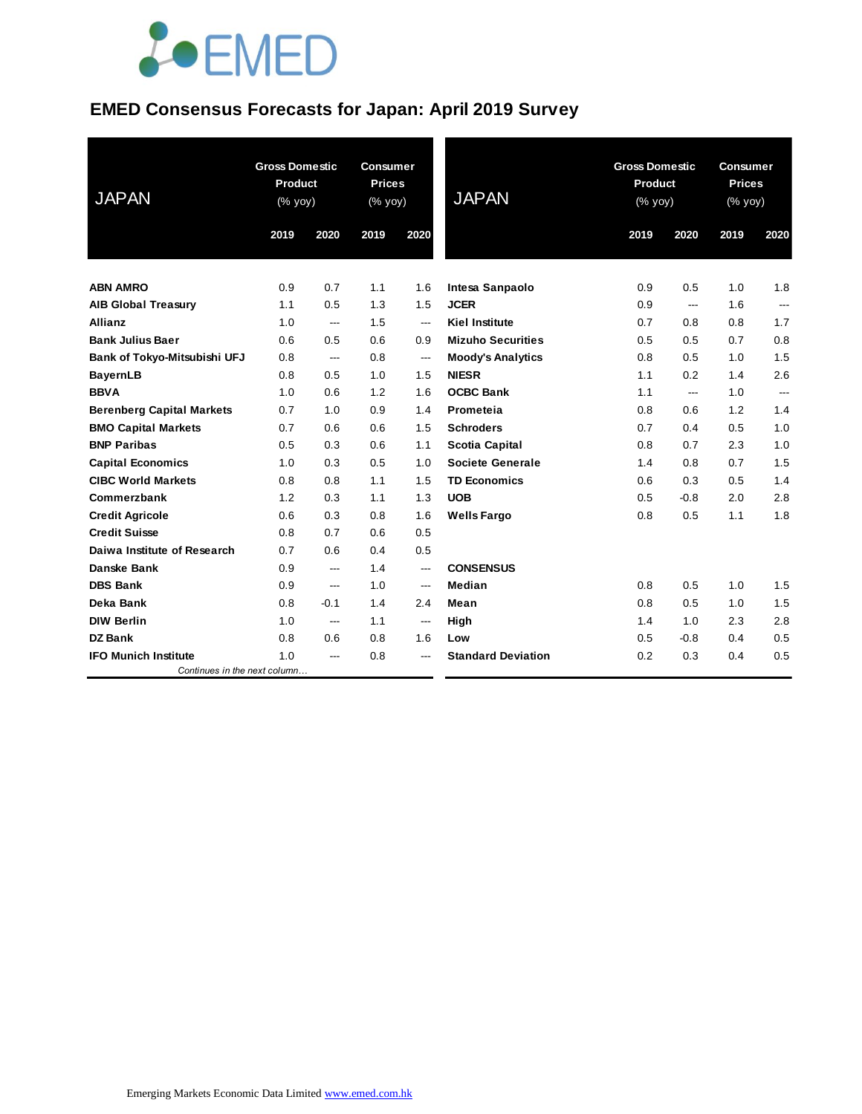#### **EMED Consensus Forecasts for Japan: April 2019 Survey**

| <b>JAPAN</b>                     | <b>Gross Domestic</b><br><b>Product</b><br>(% yoy) |                | <b>Gross Domestic</b><br><b>Consumer</b><br><b>Prices</b><br><b>Product</b><br><b>JAPAN</b><br>(% yoy)<br>(% yoy) |                        |                           | <b>Consumer</b><br><b>Prices</b><br>(% yoy) |                |      |                |
|----------------------------------|----------------------------------------------------|----------------|-------------------------------------------------------------------------------------------------------------------|------------------------|---------------------------|---------------------------------------------|----------------|------|----------------|
|                                  | 2019                                               | 2020           | 2019                                                                                                              | 2020                   |                           | 2019                                        | 2020           | 2019 | 2020           |
| <b>ABN AMRO</b>                  | 0.9                                                | 0.7            | 1.1                                                                                                               | 1.6                    | Intesa Sanpaolo           | 0.9                                         | 0.5            | 1.0  | 1.8            |
| <b>AIB Global Treasury</b>       | 1.1                                                | 0.5            | 1.3                                                                                                               | 1.5                    | <b>JCER</b>               | 0.9                                         | ---            | 1.6  | ---            |
| Allianz                          | 1.0                                                | $\overline{a}$ | 1.5                                                                                                               | $\overline{a}$         | <b>Kiel Institute</b>     | 0.7                                         | 0.8            | 0.8  | 1.7            |
| <b>Bank Julius Baer</b>          | 0.6                                                | 0.5            | 0.6                                                                                                               | 0.9                    | <b>Mizuho Securities</b>  | 0.5                                         | 0.5            | 0.7  | 0.8            |
| Bank of Tokyo-Mitsubishi UFJ     | 0.8                                                | ---            | 0.8                                                                                                               | $\qquad \qquad \cdots$ | <b>Moody's Analytics</b>  | 0.8                                         | 0.5            | 1.0  | 1.5            |
| <b>BayernLB</b>                  | 0.8                                                | 0.5            | 1.0                                                                                                               | 1.5                    | <b>NIESR</b>              | 1.1                                         | 0.2            | 1.4  | 2.6            |
| <b>BBVA</b>                      | 1.0                                                | 0.6            | 1.2                                                                                                               | 1.6                    | <b>OCBC Bank</b>          | 1.1                                         | $\overline{a}$ | 1.0  | $\overline{a}$ |
| <b>Berenberg Capital Markets</b> | 0.7                                                | 1.0            | 0.9                                                                                                               | 1.4                    | Prometeia                 | 0.8                                         | 0.6            | 1.2  | 1.4            |
| <b>BMO Capital Markets</b>       | 0.7                                                | 0.6            | 0.6                                                                                                               | 1.5                    | <b>Schroders</b>          | 0.7                                         | 0.4            | 0.5  | 1.0            |
| <b>BNP Paribas</b>               | 0.5                                                | 0.3            | 0.6                                                                                                               | 1.1                    | <b>Scotia Capital</b>     | 0.8                                         | 0.7            | 2.3  | 1.0            |
| <b>Capital Economics</b>         | 1.0                                                | 0.3            | 0.5                                                                                                               | 1.0                    | <b>Societe Generale</b>   | 1.4                                         | 0.8            | 0.7  | 1.5            |
| <b>CIBC World Markets</b>        | 0.8                                                | 0.8            | 1.1                                                                                                               | 1.5                    | <b>TD Economics</b>       | 0.6                                         | 0.3            | 0.5  | 1.4            |
| Commerzbank                      | 1.2                                                | 0.3            | 1.1                                                                                                               | 1.3                    | <b>UOB</b>                | 0.5                                         | $-0.8$         | 2.0  | 2.8            |
| <b>Credit Agricole</b>           | 0.6                                                | 0.3            | 0.8                                                                                                               | 1.6                    | <b>Wells Fargo</b>        | 0.8                                         | 0.5            | 1.1  | 1.8            |
| <b>Credit Suisse</b>             | 0.8                                                | 0.7            | 0.6                                                                                                               | 0.5                    |                           |                                             |                |      |                |
| Daiwa Institute of Research      | 0.7                                                | 0.6            | 0.4                                                                                                               | 0.5                    |                           |                                             |                |      |                |
| <b>Danske Bank</b>               | 0.9                                                | ---            | 1.4                                                                                                               | $\qquad \qquad \cdots$ | <b>CONSENSUS</b>          |                                             |                |      |                |
| <b>DBS Bank</b>                  | 0.9                                                | ---            | 1.0                                                                                                               | ---                    | Median                    | 0.8                                         | 0.5            | 1.0  | 1.5            |
| Deka Bank                        | 0.8                                                | $-0.1$         | 1.4                                                                                                               | 2.4                    | Mean                      | 0.8                                         | 0.5            | 1.0  | 1.5            |
| <b>DIW Berlin</b>                | 1.0                                                | ---            | 1.1                                                                                                               | ---                    | High                      | 1.4                                         | 1.0            | 2.3  | 2.8            |
| <b>DZ Bank</b>                   | 0.8                                                | 0.6            | 0.8                                                                                                               | 1.6                    | Low                       | 0.5                                         | $-0.8$         | 0.4  | 0.5            |
| <b>IFO Munich Institute</b>      | 1.0                                                | ---            | 0.8                                                                                                               | ---                    | <b>Standard Deviation</b> | 0.2                                         | 0.3            | 0.4  | 0.5            |
| Continues in the next column     |                                                    |                |                                                                                                                   |                        |                           |                                             |                |      |                |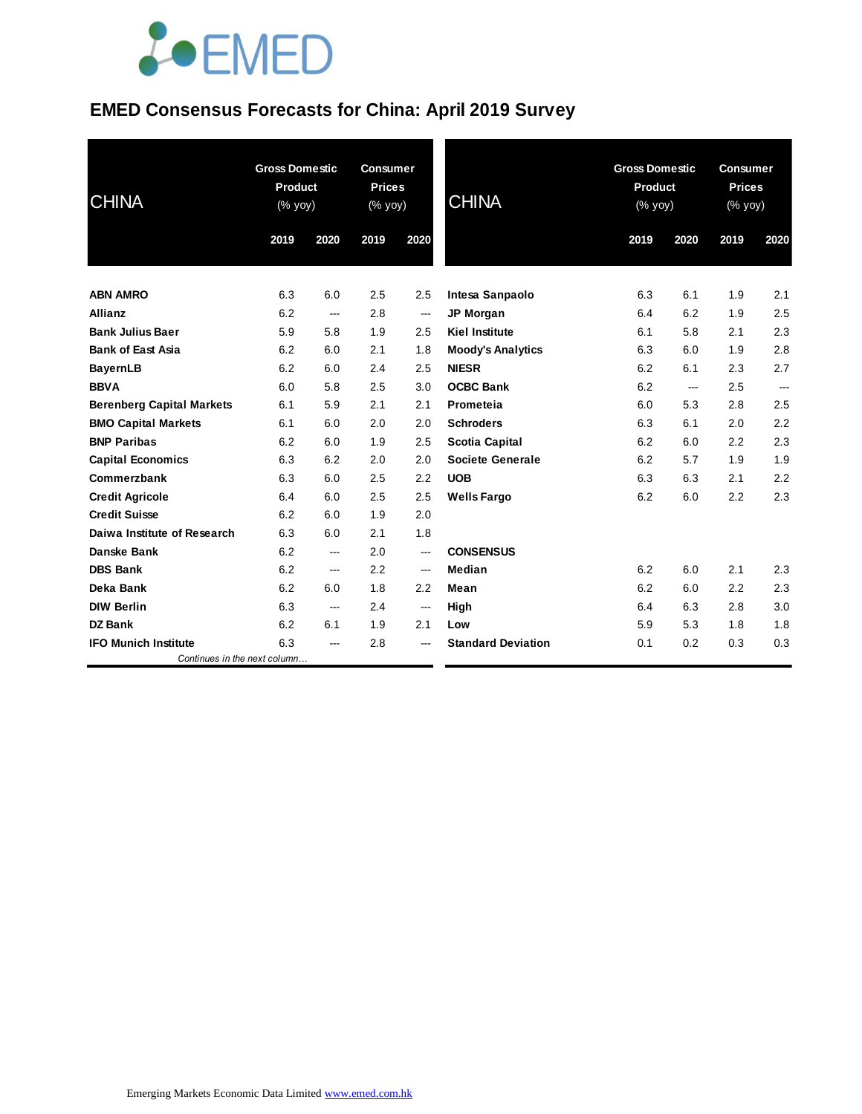### **EMED Consensus Forecasts for China: April 2019 Survey**

| <b>CHINA</b>                     | <b>Gross Domestic</b><br><b>Product</b><br>(% yoy) |                          | <b>Consumer</b><br><b>Prices</b><br>(% yoy) |                          | <b>CHINA</b>              | <b>Gross Domestic</b><br><b>Product</b><br>(% yoy) |      | <b>Consumer</b><br><b>Prices</b><br>$(% \mathsf{Y}\rightarrow \mathsf{Y})$ (% yoy) |        |
|----------------------------------|----------------------------------------------------|--------------------------|---------------------------------------------|--------------------------|---------------------------|----------------------------------------------------|------|------------------------------------------------------------------------------------|--------|
|                                  | 2019                                               | 2020                     | 2019                                        | 2020                     |                           | 2019                                               | 2020 | 2019                                                                               | 2020   |
| <b>ABN AMRO</b>                  | 6.3                                                | 6.0                      | 2.5                                         | 2.5                      | Intesa Sanpaolo           | 6.3                                                | 6.1  | 1.9                                                                                | 2.1    |
| <b>Allianz</b>                   | 6.2                                                | $\overline{\phantom{a}}$ | 2.8                                         | $\hspace{0.05cm} \cdots$ | <b>JP Morgan</b>          | 6.4                                                | 6.2  | 1.9                                                                                | 2.5    |
| <b>Bank Julius Baer</b>          | 5.9                                                | 5.8                      | 1.9                                         | 2.5                      | <b>Kiel Institute</b>     | 6.1                                                | 5.8  | 2.1                                                                                | 2.3    |
| <b>Bank of East Asia</b>         | 6.2                                                | 6.0                      | 2.1                                         | 1.8                      | <b>Moody's Analytics</b>  | 6.3                                                | 6.0  | 1.9                                                                                | 2.8    |
| <b>BayernLB</b>                  | 6.2                                                | 6.0                      | 2.4                                         | 2.5                      | <b>NIESR</b>              | 6.2                                                | 6.1  | 2.3                                                                                | 2.7    |
| <b>BBVA</b>                      | 6.0                                                | 5.8                      | 2.5                                         | 3.0                      | <b>OCBC Bank</b>          | 6.2                                                | ---  | 2.5                                                                                | $\sim$ |
| <b>Berenberg Capital Markets</b> | 6.1                                                | 5.9                      | 2.1                                         | 2.1                      | Prometeia                 | 6.0                                                | 5.3  | 2.8                                                                                | 2.5    |
| <b>BMO Capital Markets</b>       | 6.1                                                | 6.0                      | 2.0                                         | 2.0                      | <b>Schroders</b>          | 6.3                                                | 6.1  | 2.0                                                                                | 2.2    |
| <b>BNP Paribas</b>               | 6.2                                                | 6.0                      | 1.9                                         | 2.5                      | <b>Scotia Capital</b>     | 6.2                                                | 6.0  | 2.2                                                                                | 2.3    |
| <b>Capital Economics</b>         | 6.3                                                | 6.2                      | 2.0                                         | 2.0                      | <b>Societe Generale</b>   | 6.2                                                | 5.7  | 1.9                                                                                | 1.9    |
| Commerzbank                      | 6.3                                                | 6.0                      | 2.5                                         | 2.2                      | <b>UOB</b>                | 6.3                                                | 6.3  | 2.1                                                                                | 2.2    |
| <b>Credit Agricole</b>           | 6.4                                                | 6.0                      | 2.5                                         | 2.5                      | <b>Wells Fargo</b>        | 6.2                                                | 6.0  | 2.2                                                                                | 2.3    |
| <b>Credit Suisse</b>             | 6.2                                                | 6.0                      | 1.9                                         | 2.0                      |                           |                                                    |      |                                                                                    |        |
| Daiwa Institute of Research      | 6.3                                                | 6.0                      | 2.1                                         | 1.8                      |                           |                                                    |      |                                                                                    |        |
| Danske Bank                      | 6.2                                                | ---                      | 2.0                                         | ---                      | <b>CONSENSUS</b>          |                                                    |      |                                                                                    |        |
| <b>DBS Bank</b>                  | 6.2                                                | ---                      | 2.2                                         | $\overline{\phantom{a}}$ | Median                    | 6.2                                                | 6.0  | 2.1                                                                                | 2.3    |
| Deka Bank                        | 6.2                                                | 6.0                      | 1.8                                         | 2.2                      | Mean                      | 6.2                                                | 6.0  | 2.2                                                                                | 2.3    |
| <b>DIW Berlin</b>                | 6.3                                                | $\sim$                   | 2.4                                         | $\hspace{0.05cm}$        | High                      | 6.4                                                | 6.3  | 2.8                                                                                | 3.0    |
| <b>DZ Bank</b>                   | 6.2                                                | 6.1                      | 1.9                                         | 2.1                      | Low                       | 5.9                                                | 5.3  | 1.8                                                                                | 1.8    |
| <b>IFO Munich Institute</b>      | 6.3                                                | ---                      | 2.8                                         | ---                      | <b>Standard Deviation</b> | 0.1                                                | 0.2  | 0.3                                                                                | 0.3    |
| Continues in the next column     |                                                    |                          |                                             |                          |                           |                                                    |      |                                                                                    |        |